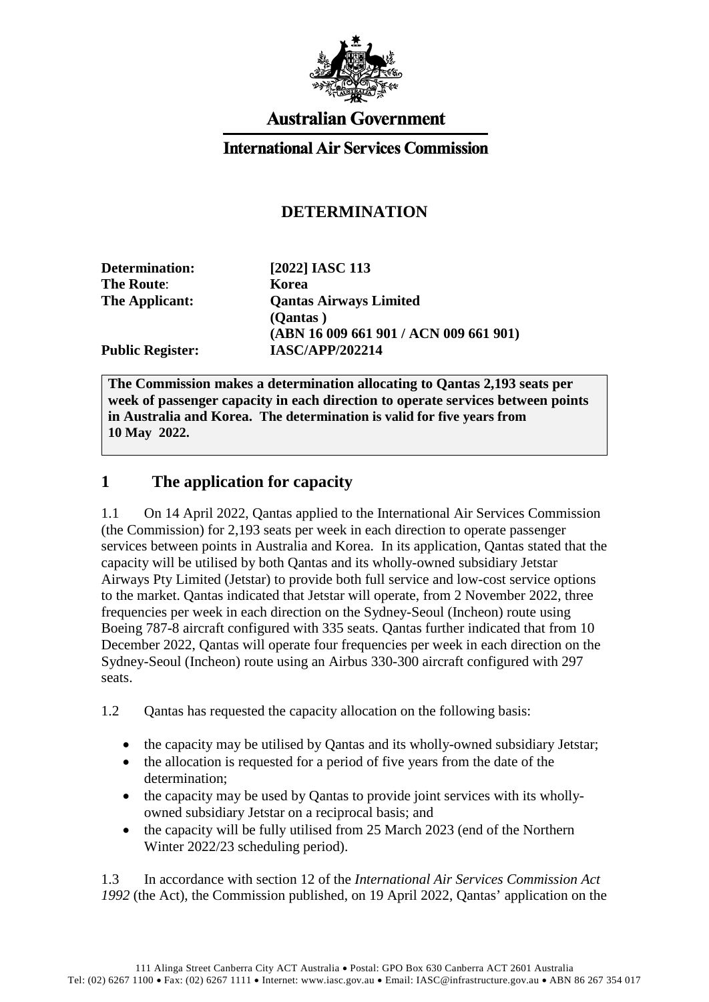

## **Australian Government**

### **International Air Services Commission**

## **DETERMINATION**

| [2022] IASC 113                        |
|----------------------------------------|
| Korea                                  |
| <b>Qantas Airways Limited</b>          |
| (Qantas)                               |
| (ABN 16 009 661 901 / ACN 009 661 901) |
| <b>IASC/APP/202214</b>                 |
|                                        |

**The Commission makes a determination allocating to Qantas 2,193 seats per week of passenger capacity in each direction to operate services between points in Australia and Korea. The determination is valid for five years from 10 May 2022.**

### **1 The application for capacity**

1.1 On 14 April 2022, Qantas applied to the International Air Services Commission (the Commission) for 2,193 seats per week in each direction to operate passenger services between points in Australia and Korea. In its application, Qantas stated that the capacity will be utilised by both Qantas and its wholly-owned subsidiary Jetstar Airways Pty Limited (Jetstar) to provide both full service and low-cost service options to the market. Qantas indicated that Jetstar will operate, from 2 November 2022, three frequencies per week in each direction on the Sydney-Seoul (Incheon) route using Boeing 787-8 aircraft configured with 335 seats. Qantas further indicated that from 10 December 2022, Qantas will operate four frequencies per week in each direction on the Sydney-Seoul (Incheon) route using an Airbus 330-300 aircraft configured with 297 seats.

1.2 Qantas has requested the capacity allocation on the following basis:

- the capacity may be utilised by Qantas and its wholly-owned subsidiary Jetstar;
- the allocation is requested for a period of five years from the date of the determination;
- the capacity may be used by Qantas to provide joint services with its whollyowned subsidiary Jetstar on a reciprocal basis; and
- the capacity will be fully utilised from 25 March 2023 (end of the Northern Winter 2022/23 scheduling period).

1.3 In accordance with section 12 of the *International Air Services Commission Act 1992* (the Act), the Commission published, on 19 April 2022, Qantas' application on the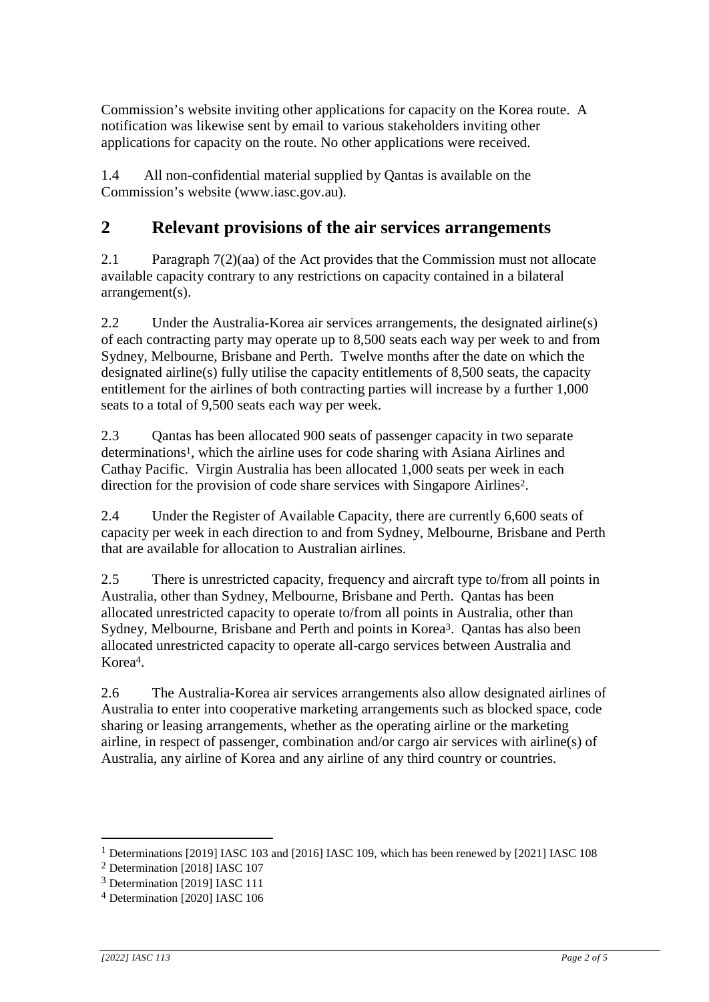Commission's website inviting other applications for capacity on the Korea route. A notification was likewise sent by email to various stakeholders inviting other applications for capacity on the route. No other applications were received.

1.4 All non-confidential material supplied by Qantas is available on the Commission's website [\(www.iasc.gov.au\)](http://www.iasc.gov.au/).

## **2 Relevant provisions of the air services arrangements**

2.1 Paragraph 7(2)(aa) of the Act provides that the Commission must not allocate available capacity contrary to any restrictions on capacity contained in a bilateral arrangement(s).

2.2 Under the Australia-Korea air services arrangements, the designated airline(s) of each contracting party may operate up to 8,500 seats each way per week to and from Sydney, Melbourne, Brisbane and Perth. Twelve months after the date on which the designated airline(s) fully utilise the capacity entitlements of 8,500 seats, the capacity entitlement for the airlines of both contracting parties will increase by a further 1,000 seats to a total of 9,500 seats each way per week.

2.3 Qantas has been allocated 900 seats of passenger capacity in two separate determinations1, which the airline uses for code sharing with Asiana Airlines and Cathay Pacific. Virgin Australia has been allocated 1,000 seats per week in each direction for the provision of code share services with Singapore Airlines2.

2.4 Under the Register of Available Capacity, there are currently 6,600 seats of capacity per week in each direction to and from Sydney, Melbourne, Brisbane and Perth that are available for allocation to Australian airlines.

2.5 There is unrestricted capacity, frequency and aircraft type to/from all points in Australia, other than Sydney, Melbourne, Brisbane and Perth. Qantas has been allocated unrestricted capacity to operate to/from all points in Australia, other than Sydney, Melbourne, Brisbane and Perth and points in Korea3. Qantas has also been allocated unrestricted capacity to operate all-cargo services between Australia and Korea4.

2.6 The Australia-Korea air services arrangements also allow designated airlines of Australia to enter into cooperative marketing arrangements such as blocked space, code sharing or leasing arrangements, whether as the operating airline or the marketing airline, in respect of passenger, combination and/or cargo air services with airline(s) of Australia, any airline of Korea and any airline of any third country or countries.

1

<sup>&</sup>lt;sup>1</sup> Determinations [2019] IASC 103 and [2016] IASC 109, which has been renewed by [2021] IASC 108

<sup>2</sup> Determination [2018] IASC 107

<sup>3</sup> Determination [2019] IASC 111

<sup>4</sup> Determination [2020] IASC 106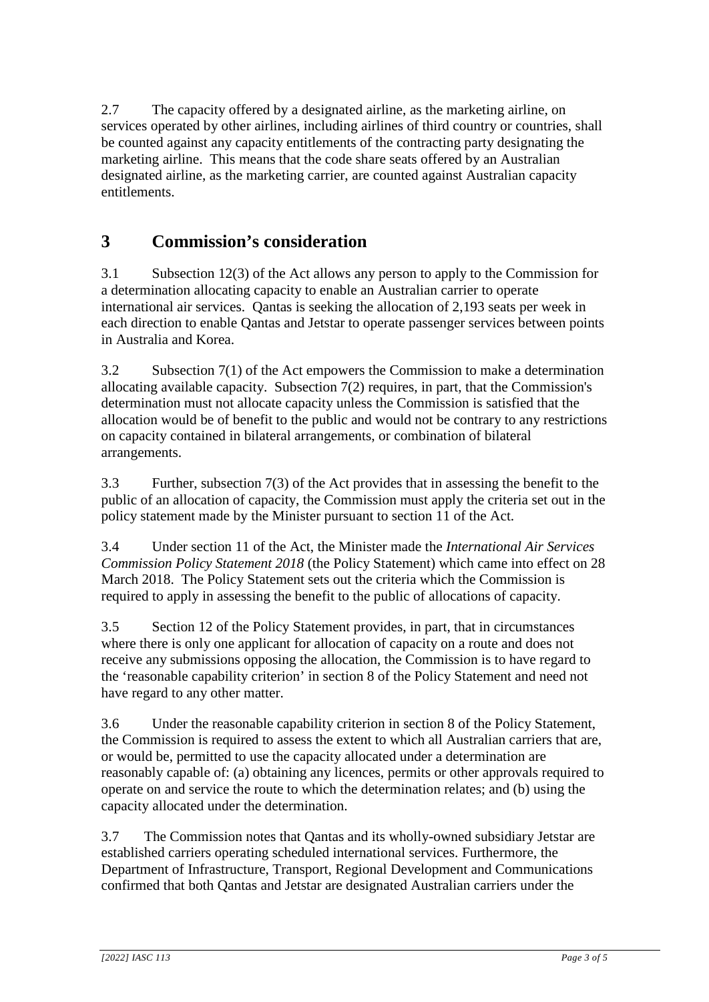2.7 The capacity offered by a designated airline, as the marketing airline, on services operated by other airlines, including airlines of third country or countries, shall be counted against any capacity entitlements of the contracting party designating the marketing airline. This means that the code share seats offered by an Australian designated airline, as the marketing carrier, are counted against Australian capacity entitlements.

# **3 Commission's consideration**

3.1 Subsection 12(3) of the Act allows any person to apply to the Commission for a determination allocating capacity to enable an Australian carrier to operate international air services. Qantas is seeking the allocation of 2,193 seats per week in each direction to enable Qantas and Jetstar to operate passenger services between points in Australia and Korea.

3.2 Subsection 7(1) of the Act empowers the Commission to make a determination allocating available capacity. Subsection 7(2) requires, in part, that the Commission's determination must not allocate capacity unless the Commission is satisfied that the allocation would be of benefit to the public and would not be contrary to any restrictions on capacity contained in bilateral arrangements, or combination of bilateral arrangements.

3.3 Further, subsection 7(3) of the Act provides that in assessing the benefit to the public of an allocation of capacity, the Commission must apply the criteria set out in the policy statement made by the Minister pursuant to section 11 of the Act.

3.4 Under section 11 of the Act, the Minister made the *International Air Services Commission Policy Statement 2018* (the Policy Statement) which came into effect on 28 March 2018. The Policy Statement sets out the criteria which the Commission is required to apply in assessing the benefit to the public of allocations of capacity.

3.5 Section 12 of the Policy Statement provides, in part, that in circumstances where there is only one applicant for allocation of capacity on a route and does not receive any submissions opposing the allocation, the Commission is to have regard to the 'reasonable capability criterion' in section 8 of the Policy Statement and need not have regard to any other matter.

3.6 Under the reasonable capability criterion in section 8 of the Policy Statement, the Commission is required to assess the extent to which all Australian carriers that are, or would be, permitted to use the capacity allocated under a determination are reasonably capable of: (a) obtaining any licences, permits or other approvals required to operate on and service the route to which the determination relates; and (b) using the capacity allocated under the determination.

3.7 The Commission notes that Qantas and its wholly-owned subsidiary Jetstar are established carriers operating scheduled international services. Furthermore, the Department of Infrastructure, Transport, Regional Development and Communications confirmed that both Qantas and Jetstar are designated Australian carriers under the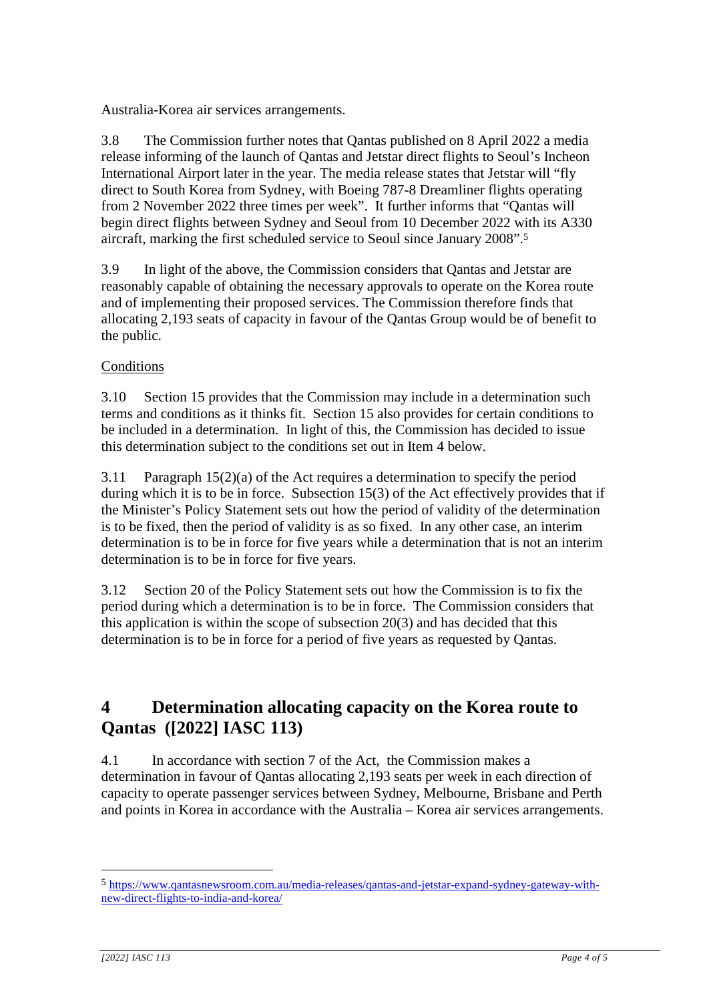Australia-Korea air services arrangements.

3.8 The Commission further notes that Qantas published on 8 April 2022 a media release informing of the launch of Qantas and Jetstar direct flights to Seoul's Incheon International Airport later in the year. The media release states that Jetstar will "fly direct to South Korea from Sydney, with Boeing 787-8 Dreamliner flights operating from 2 November 2022 three times per week". It further informs that "Qantas will begin direct flights between Sydney and Seoul from 10 December 2022 with its A330 aircraft, marking the first scheduled service to Seoul since January 2008".<sup>5</sup>

3.9 In light of the above, the Commission considers that Qantas and Jetstar are reasonably capable of obtaining the necessary approvals to operate on the Korea route and of implementing their proposed services. The Commission therefore finds that allocating 2,193 seats of capacity in favour of the Qantas Group would be of benefit to the public.

#### **Conditions**

3.10 Section 15 provides that the Commission may include in a determination such terms and conditions as it thinks fit. Section 15 also provides for certain conditions to be included in a determination. In light of this, the Commission has decided to issue this determination subject to the conditions set out in Item 4 below.

3.11 Paragraph  $15(2)(a)$  of the Act requires a determination to specify the period during which it is to be in force. Subsection 15(3) of the Act effectively provides that if the Minister's Policy Statement sets out how the period of validity of the determination is to be fixed, then the period of validity is as so fixed. In any other case, an interim determination is to be in force for five years while a determination that is not an interim determination is to be in force for five years.

3.12 Section 20 of the Policy Statement sets out how the Commission is to fix the period during which a determination is to be in force. The Commission considers that this application is within the scope of subsection 20(3) and has decided that this determination is to be in force for a period of five years as requested by Qantas.

# **4 Determination allocating capacity on the Korea route to Qantas ([2022] IASC 113)**

4.1 In accordance with section 7 of the Act, the Commission makes a determination in favour of Qantas allocating 2,193 seats per week in each direction of capacity to operate passenger services between Sydney, Melbourne, Brisbane and Perth and points in Korea in accordance with the Australia – Korea air services arrangements.

1

<sup>5</sup> [https://www.qantasnewsroom.com.au/media-releases/qantas-and-jetstar-expand-sydney-gateway-with](https://www.qantasnewsroom.com.au/media-releases/qantas-and-jetstar-expand-sydney-gateway-with-new-direct-flights-to-india-and-korea/)[new-direct-flights-to-india-and-korea/](https://www.qantasnewsroom.com.au/media-releases/qantas-and-jetstar-expand-sydney-gateway-with-new-direct-flights-to-india-and-korea/)